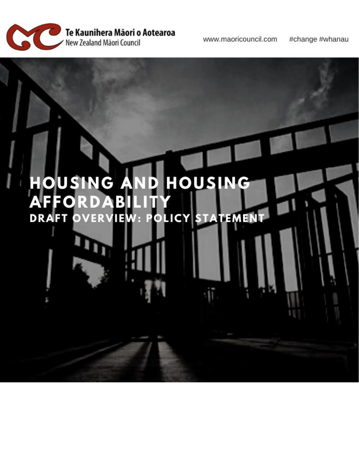

www.maoricouncil.com

#change #whanau

#### HOUSING HOUSING A AND<br>Bilit A E **ERVIEW: POLICY STATEMEN DRAFT** ۵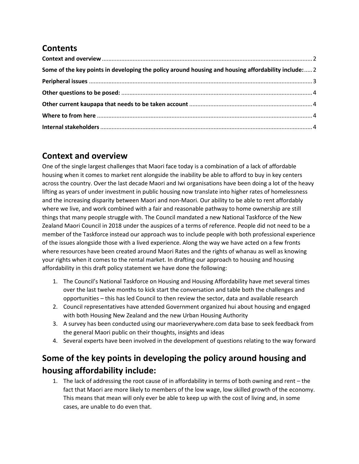# **Contents**

| Some of the key points in developing the policy around housing and housing affordability include: 2 |  |
|-----------------------------------------------------------------------------------------------------|--|
|                                                                                                     |  |
|                                                                                                     |  |
|                                                                                                     |  |
|                                                                                                     |  |
|                                                                                                     |  |

## <span id="page-1-0"></span>**Context and overview**

One of the single largest challenges that Maori face today is a combination of a lack of affordable housing when it comes to market rent alongside the inability be able to afford to buy in key centers across the country. Over the last decade Maori and Iwi organisations have been doing a lot of the heavy lifting as years of under investment in public housing now translate into higher rates of homelessness and the increasing disparity between Maori and non-Maori. Our ability to be able to rent affordably where we live, and work combined with a fair and reasonable pathway to home ownership are still things that many people struggle with. The Council mandated a new National Taskforce of the New Zealand Maori Council in 2018 under the auspices of a terms of reference. People did not need to be a member of the Taskforce instead our approach was to include people with both professional experience of the issues alongside those with a lived experience. Along the way we have acted on a few fronts where resources have been created around Maori Rates and the rights of whanau as well as knowing your rights when it comes to the rental market. In drafting our approach to housing and housing affordability in this draft policy statement we have done the following:

- 1. The Council's National Taskforce on Housing and Housing Affordability have met several times over the last twelve months to kick start the conversation and table both the challenges and opportunities – this has led Council to then review the sector, data and available research
- 2. Council representatives have attended Government organized hui about housing and engaged with both Housing New Zealand and the new Urban Housing Authority
- 3. A survey has been conducted using our maorieverywhere.com data base to seek feedback from the general Maori public on their thoughts, insights and ideas
- 4. Several experts have been involved in the development of questions relating to the way forward

# <span id="page-1-1"></span>**Some of the key points in developing the policy around housing and housing affordability include:**

1. The lack of addressing the root cause of in affordability in terms of both owning and rent – the fact that Maori are more likely to members of the low wage, low skilled growth of the economy. This means that mean will only ever be able to keep up with the cost of living and, in some cases, are unable to do even that.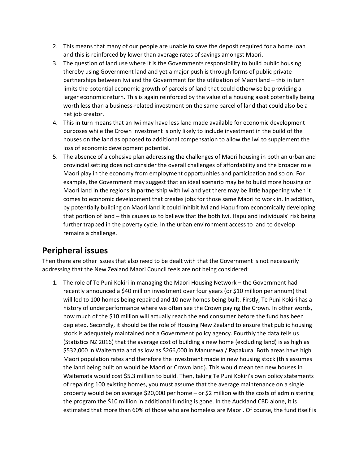- 2. This means that many of our people are unable to save the deposit required for a home loan and this is reinforced by lower than average rates of savings amongst Maori.
- 3. The question of land use where it is the Governments responsibility to build public housing thereby using Government land and yet a major push is through forms of public private partnerships between Iwi and the Government for the utilization of Maori land – this in turn limits the potential economic growth of parcels of land that could otherwise be providing a larger economic return. This is again reinforced by the value of a housing asset potentially being worth less than a business-related investment on the same parcel of land that could also be a net job creator.
- 4. This in turn means that an Iwi may have less land made available for economic development purposes while the Crown investment is only likely to include investment in the build of the houses on the land as opposed to additional compensation to allow the Iwi to supplement the loss of economic development potential.
- 5. The absence of a cohesive plan addressing the challenges of Maori housing in both an urban and provincial setting does not consider the overall challenges of affordability and the broader role Maori play in the economy from employment opportunities and participation and so on. For example, the Government may suggest that an ideal scenario may be to build more housing on Maori land in the regions in partnership with Iwi and yet there may be little happening when it comes to economic development that creates jobs for those same Maori to work in. In addition, by potentially building on Maori land it could inhibit Iwi and Hapu from economically developing that portion of land – this causes us to believe that the both Iwi, Hapu and individuals' risk being further trapped in the poverty cycle. In the urban environment access to land to develop remains a challenge.

## <span id="page-2-0"></span>**Peripheral issues**

Then there are other issues that also need to be dealt with that the Government is not necessarily addressing that the New Zealand Maori Council feels are not being considered:

1. The role of Te Puni Kokiri in managing the Maori Housing Network – the Government had recently announced a \$40 million investment over four years (or \$10 million per annum) that will led to 100 homes being repaired and 10 new homes being built. Firstly, Te Puni Kokiri has a history of underperformance where we often see the Crown paying the Crown. In other words, how much of the \$10 million will actually reach the end consumer before the fund has been depleted. Secondly, it should be the role of Housing New Zealand to ensure that public housing stock is adequately maintained not a Government policy agency. Fourthly the data tells us (Statistics NZ 2016) that the average cost of building a new home (excluding land) is as high as \$532,000 in Waitemata and as low as \$266,000 in Manurewa / Papakura. Both areas have high Maori population rates and therefore the investment made in new housing stock (this assumes the land being built on would be Maori or Crown land). This would mean ten new houses in Waitemata would cost \$5.3 million to build. Then, taking Te Puni Kokiri's own policy statements of repairing 100 existing homes, you must assume that the average maintenance on a single property would be on average \$20,000 per home – or \$2 million with the costs of administering the program the \$10 million in additional funding is gone. In the Auckland CBD alone, it is estimated that more than 60% of those who are homeless are Maori. Of course, the fund itself is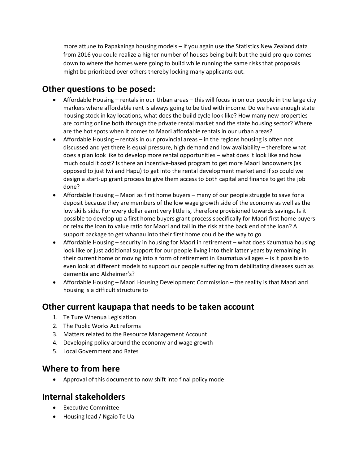more attune to Papakainga housing models – if you again use the Statistics New Zealand data from 2016 you could realize a higher number of houses being built but the quid pro quo comes down to where the homes were going to build while running the same risks that proposals might be prioritized over others thereby locking many applicants out.

## <span id="page-3-0"></span>**Other questions to be posed:**

- Affordable Housing rentals in our Urban areas this will focus in on our people in the large city markers where affordable rent is always going to be tied with income. Do we have enough state housing stock in kay locations, what does the build cycle look like? How many new properties are coming online both through the private rental market and the state housing sector? Where are the hot spots when it comes to Maori affordable rentals in our urban areas?
- Affordable Housing rentals in our provincial areas in the regions housing is often not discussed and yet there is equal pressure, high demand and low availability – therefore what does a plan look like to develop more rental opportunities – what does it look like and how much could it cost? Is there an incentive-based program to get more Maori landowners (as opposed to just Iwi and Hapu) to get into the rental development market and if so could we design a start-up grant process to give them access to both capital and finance to get the job done?
- Affordable Housing Maori as first home buyers many of our people struggle to save for a deposit because they are members of the low wage growth side of the economy as well as the low skills side. For every dollar earnt very little is, therefore provisioned towards savings. Is it possible to develop up a first home buyers grant process specifically for Maori first home buyers or relax the loan to value ratio for Maori and tail in the risk at the back end of the loan? A support package to get whanau into their first home could be the way to go
- Affordable Housing security in housing for Maori in retirement what does Kaumatua housing look like or just additional support for our people living into their latter years by remaining in their current home or moving into a form of retirement in Kaumatua villages – is it possible to even look at different models to support our people suffering from debilitating diseases such as dementia and Alzheimer's?
- Affordable Housing Maori Housing Development Commission the reality is that Maori and housing is a difficult structure to

## <span id="page-3-1"></span>**Other current kaupapa that needs to be taken account**

- 1. Te Ture Whenua Legislation
- 2. The Public Works Act reforms
- 3. Matters related to the Resource Management Account
- 4. Developing policy around the economy and wage growth
- 5. Local Government and Rates

#### <span id="page-3-2"></span>**Where to from here**

• Approval of this document to now shift into final policy mode

#### <span id="page-3-3"></span>**Internal stakeholders**

- Executive Committee
- Housing lead / Ngaio Te Ua